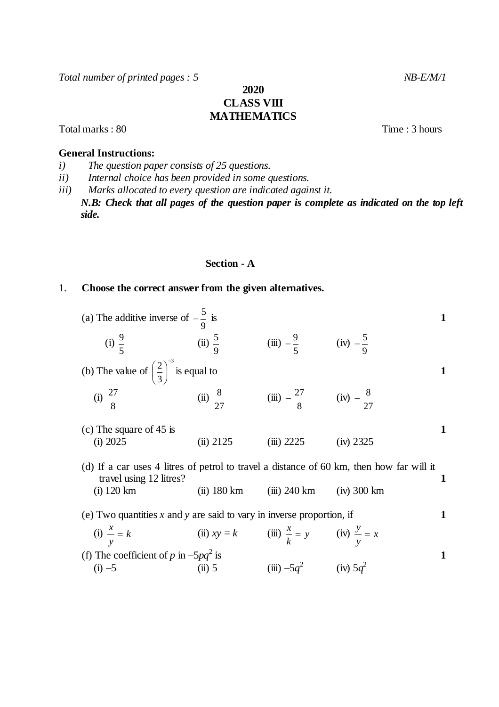Total number of printed pages : 5 NB-E/M/1

# **2020 CLASS VIII MATHEMATICS**

## **General Instructions:**

- *i) The question paper consists of 25 questions.*
- *ii) Internal choice has been provided in some questions.*
- *iii) Marks allocated to every question are indicated against it.*
	- *N.B: Check that all pages of the question paper is complete as indicated on the top left side.*

## **Section - A**

#### 1. **Choose the correct answer from the given alternatives.**

| (a) The additive inverse of $-\frac{5}{9}$ is                                            |                                                              |                                          |               | 1 |
|------------------------------------------------------------------------------------------|--------------------------------------------------------------|------------------------------------------|---------------|---|
| (i) $\frac{9}{5}$ (ii) $\frac{5}{9}$                                                     |                                                              | (iii) $-\frac{9}{5}$ (iv) $-\frac{5}{9}$ |               |   |
| (b) The value of $\left(\frac{2}{3}\right)^{-3}$ is equal to                             |                                                              |                                          |               | 1 |
| (i) $\frac{27}{8}$ (ii) $\frac{8}{27}$ (iii) $-\frac{27}{8}$ (iv) $-\frac{8}{27}$        |                                                              |                                          |               |   |
| (c) The square of $45$ is<br>(i) 2025                                                    | (ii) 2125                                                    | $(iii)$ 2225                             | (iv) 2325     | 1 |
| (d) If a car uses 4 litres of petrol to travel a distance of 60 km, then how far will it |                                                              |                                          |               | 1 |
| travel using 12 litres?<br>$(i)$ 120 km                                                  | $(ii)$ 180 km                                                | (iii) 240 km                             | $(iv)$ 300 km |   |
| (e) Two quantities x and y are said to vary in inverse proportion, if                    |                                                              |                                          |               | 1 |
| $(i)$ $\frac{x}{-}$ = k                                                                  | (ii) $xy = k$ (iii) $\frac{x}{k} = y$ (iv) $\frac{y}{v} = x$ |                                          |               |   |
| (f) The coefficient of p in $-5pq^2$ is                                                  |                                                              |                                          |               | 1 |
| $(i) -5$                                                                                 | $(ii)$ 5                                                     | (iii) $-5q^2$ (iv) $5q^2$                |               |   |

Total marks : 80 Time : 3 hours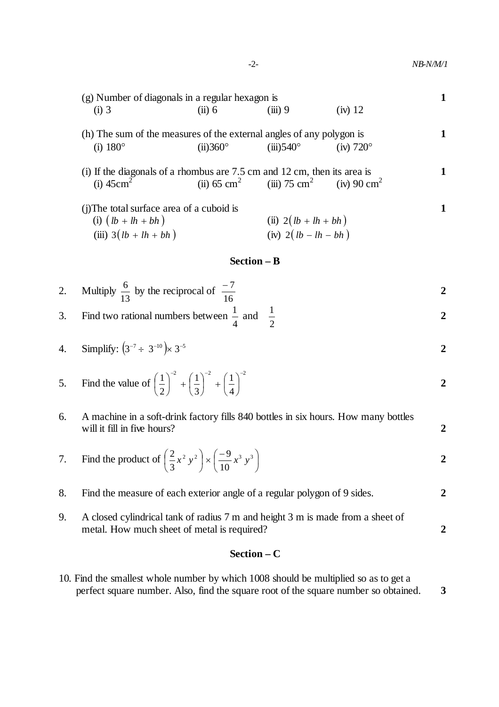|    | (g) Number of diagonals in a regular hexagon is                                                         |                    |                                                                          |                       |                |
|----|---------------------------------------------------------------------------------------------------------|--------------------|--------------------------------------------------------------------------|-----------------------|----------------|
|    | $(i)$ 3                                                                                                 | (ii) 6             | $(iii)$ 9                                                                | $(iv)$ 12             |                |
|    | (h) The sum of the measures of the external angles of any polygon is<br>$(i)$ 180 $^{\circ}$            | $(ii)360^\circ$    | $(iii)$ 540 $\circ$                                                      | $(iv)$ 720 $^{\circ}$ | 1              |
|    | (i) If the diagonals of a rhombus are $7.5$ cm and $12$ cm, then its area is<br>$(i)$ 45cm <sup>2</sup> |                    | (ii) 65 cm <sup>2</sup> (iii) 75 cm <sup>2</sup> (iv) 90 cm <sup>2</sup> |                       | 1              |
|    | (j) The total surface area of a cuboid is<br>(i) $(lb + lh + bh)$<br>(iii) $3(lb + lh + bh)$            |                    | (ii) $2(lb + lh + bh)$<br>(iv) $2(lb - lh - bh)$                         |                       | 1              |
|    |                                                                                                         | <b>Section – B</b> |                                                                          |                       |                |
| 2. | Multiply $\frac{6}{13}$ by the reciprocal of $\frac{-7}{16}$                                            |                    |                                                                          |                       | 2              |
| 3. | Find two rational numbers between $\frac{1}{4}$ and $\frac{1}{2}$                                       |                    |                                                                          |                       | $\overline{2}$ |
| 4. | Simplify: $(3^{-7} \div 3^{-10}) \times 3^{-5}$                                                         |                    |                                                                          |                       |                |

5. Find the value of 
$$
\left(\frac{1}{2}\right)^{-2} + \left(\frac{1}{3}\right)^{-2} + \left(\frac{1}{4}\right)^{-2}
$$

 $2.$ 

| 6. A machine in a soft-drink factory fills 840 bottles in six hours. How many bottles<br>will it fill in five hours? |  |
|----------------------------------------------------------------------------------------------------------------------|--|
|                                                                                                                      |  |
| 7 Find the product of $\left(\frac{2}{x}, x^2, y^2\right) \times \left(\frac{-9}{x^3}, y^3\right)$                   |  |

7. Find the product of 
$$
\left(\frac{2}{3}x^2y^2\right) \times \left(\frac{-9}{10}x^3y^3\right)
$$

| 8. | Find the measure of each exterior angle of a regular polygon of 9 sides.          |  |
|----|-----------------------------------------------------------------------------------|--|
|    | 9. A closed cylindrical tank of radius 7 m and height 3 m is made from a sheet of |  |
|    | metal. How much sheet of metal is required?                                       |  |

# **Section – C**

10. Find the smallest whole number by which 1008 should be multiplied so as to get a perfect square number. Also, find the square root of the square number so obtained. **3**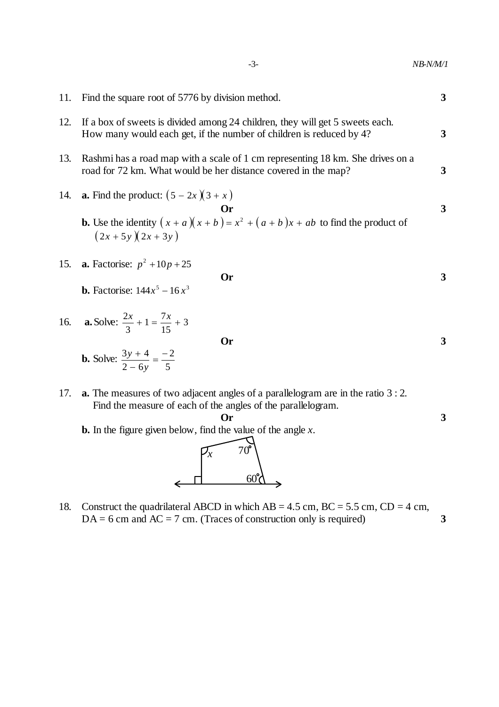| $NB-N/M/1$ |  |
|------------|--|
| - 3-       |  |

11. Find the square root of 5776 by division method. **3** 12. If a box of sweets is divided among 24 children, they will get 5 sweets each. How many would each get, if the number of children is reduced by 4? **3** 13. Rashmi has a road map with a scale of 1 cm representing 18 km. She drives on a road for 72 km. What would be her distance covered in the map? **3** 14. **a.** Find the product:  $(5 - 2x)(3 + x)$ **Or 3 b.** Use the identity  $(x + a)(x + b) = x^2 + (a + b)x + ab$  to find the product of  $(2x + 5y)(2x + 3y)$ 15. **a.** Factorise:  $p^2 + 10p + 25$ **Or 3 b.** Factorise:  $144x^5 - 16x^3$ 16. **a.** Solve:  $\frac{2x}{2} + 1 = \frac{7x}{15} + 3$ 15  $1 = \frac{7}{1}$ 3  $\frac{2x}{2} + 1 = \frac{7x}{12} +$ **Or 3 b.** Solve: 5 2  $2 - 6$  $\frac{3y+4}{2} = -$ - $\ddot{}$ *y y* 17. **a.** The measures of two adjacent angles of a parallelogram are in the ratio 3 : 2. Find the measure of each of the angles of the parallelogram.



18. Construct the quadrilateral ABCD in which  $AB = 4.5$  cm,  $BC = 5.5$  cm,  $CD = 4$  cm,  $DA = 6$  cm and  $AC = 7$  cm. (Traces of construction only is required) **3**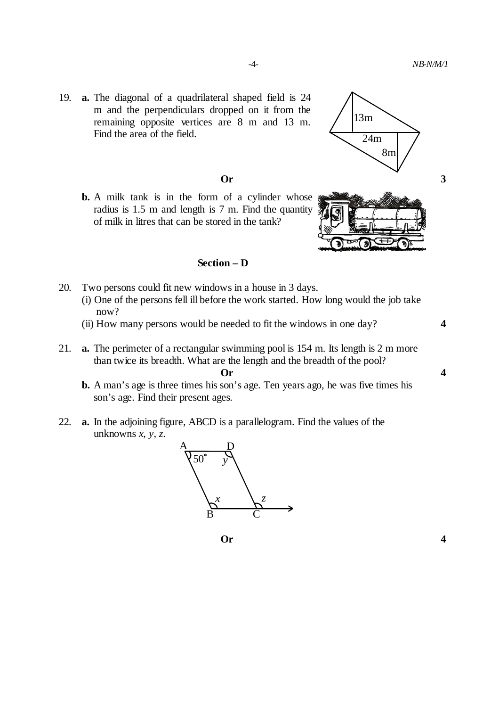19. **a.** The diagonal of a quadrilateral shaped field is 24 m and the perpendiculars dropped on it from the remaining opposite vertices are 8 m and 13 m. Find the area of the field.

**b.** A milk tank is in the form of a cylinder whose radius is 1.5 m and length is 7 m. Find the quantity of milk in litres that can be stored in the tank?



- 20. Two persons could fit new windows in a house in 3 days.
	- (i) One of the persons fell ill before the work started. How long would the job take now?
	- (ii) How many persons would be needed to fit the windows in one day? **4**
- 21. **a.** The perimeter of a rectangular swimming pool is 154 m. Its length is 2 m more than twice its breadth. What are the length and the breadth of the pool? **Or 4**
	- **b.** A man's age is three times his son's age. Ten years ago, he was five times his son's age. Find their present ages.
- 22. **a.** In the adjoining figure, ABCD is a parallelogram. Find the values of the unknowns *x*, *y*, *z*.







į